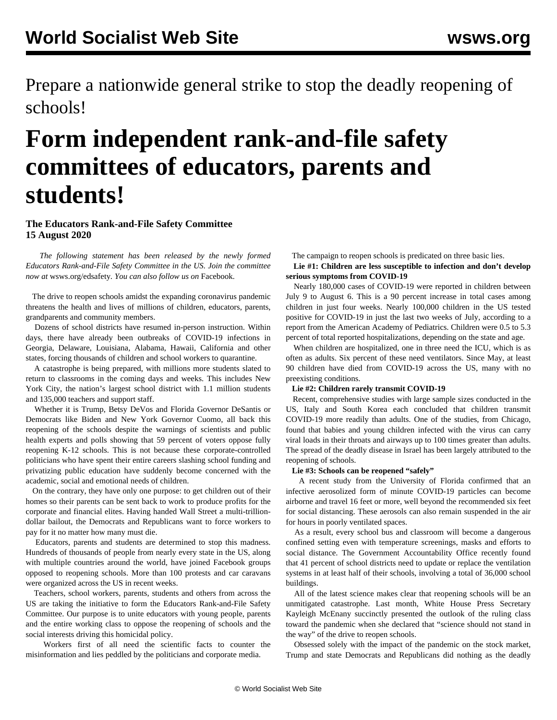Prepare a nationwide general strike to stop the deadly reopening of schools!

# **Form independent rank-and-file safety committees of educators, parents and students!**

### **The Educators Rank-and-File Safety Committee 15 August 2020**

 *The following statement has been released by the newly formed Educators Rank-and-File Safety Committee in the US. Join the committee now at* [wsws.org/edsafety](/edsafety)*. You can also follow us on* [Facebook](https://www.facebook.com/groups/educatorssafetycommittee)*.*

 The drive to reopen schools amidst the expanding coronavirus pandemic threatens the health and lives of millions of children, educators, parents, grandparents and community members.

 Dozens of school districts have resumed in-person instruction. Within days, there have already been outbreaks of COVID-19 infections in Georgia, Delaware, Louisiana, Alabama, Hawaii, California and other states, forcing thousands of children and school workers to quarantine.

 A catastrophe is being prepared, with millions more students slated to return to classrooms in the coming days and weeks. This includes New York City, the nation's largest school district with 1.1 million students and 135,000 teachers and support staff.

 Whether it is Trump, Betsy DeVos and Florida Governor DeSantis or Democrats like Biden and New York Governor Cuomo, all back this reopening of the schools despite the warnings of scientists and public health experts and polls showing that 59 percent of voters oppose fully reopening K-12 schools. This is not because these corporate-controlled politicians who have spent their entire careers slashing school funding and privatizing public education have suddenly become concerned with the academic, social and emotional needs of children.

 On the contrary, they have only one purpose: to get children out of their homes so their parents can be sent back to work to produce profits for the corporate and financial elites. Having handed Wall Street a multi-trilliondollar bailout, the Democrats and Republicans want to force workers to pay for it no matter how many must die.

 Educators, parents and students are determined to stop this madness. Hundreds of thousands of people from nearly every state in the US, along with multiple countries around the world, have joined Facebook groups opposed to reopening schools. More than 100 protests and car caravans were organized across the US in recent weeks.

 Teachers, school workers, parents, students and others from across the US are taking the initiative to form the Educators Rank-and-File Safety Committee. Our purpose is to unite educators with young people, parents and the entire working class to oppose the reopening of schools and the social interests driving this homicidal policy.

 Workers first of all need the scientific facts to counter the misinformation and lies peddled by the politicians and corporate media.

The campaign to reopen schools is predicated on three basic lies.

 **Lie #1: Children are less susceptible to infection and don't develop serious symptoms from COVID-19**

 Nearly 180,000 cases of COVID-19 were reported in children between July 9 to August 6. This is a 90 percent increase in total cases among children in just four weeks. Nearly 100,000 children in the US tested positive for COVID-19 in just the last two weeks of July, according to a report from the American Academy of Pediatrics. Children were 0.5 to 5.3 percent of total reported hospitalizations, depending on the state and age.

 When children are hospitalized, one in three need the ICU, which is as often as adults. Six percent of these need ventilators. Since May, at least 90 children have died from COVID-19 across the US, many with no preexisting conditions.

#### **Lie #2: Children rarely transmit COVID-19**

 Recent, comprehensive studies with large sample sizes conducted in the US, Italy and South Korea each concluded that children transmit COVID-19 more readily than adults. One of the studies, from Chicago, found that babies and young children infected with the virus can carry viral loads in their throats and airways up to 100 times greater than adults. The spread of the deadly disease in Israel has been largely attributed to the reopening of schools.

#### **Lie #3: Schools can be reopened "safely"**

 A recent study from the University of Florida confirmed that an infective aerosolized form of minute COVID-19 particles can become airborne and travel 16 feet or more, well beyond the recommended six feet for social distancing. These aerosols can also remain suspended in the air for hours in poorly ventilated spaces.

 As a result, every school bus and classroom will become a dangerous confined setting even with temperature screenings, masks and efforts to social distance. The Government Accountability Office recently found that 41 percent of school districts need to update or replace the ventilation systems in at least half of their schools, involving a total of 36,000 school buildings.

 All of the latest science makes clear that reopening schools will be an unmitigated catastrophe. Last month, White House Press Secretary Kayleigh McEnany succinctly presented the outlook of the ruling class toward the pandemic when she declared that "science should not stand in the way" of the drive to reopen schools.

 Obsessed solely with the impact of the pandemic on the stock market, Trump and state Democrats and Republicans did nothing as the deadly